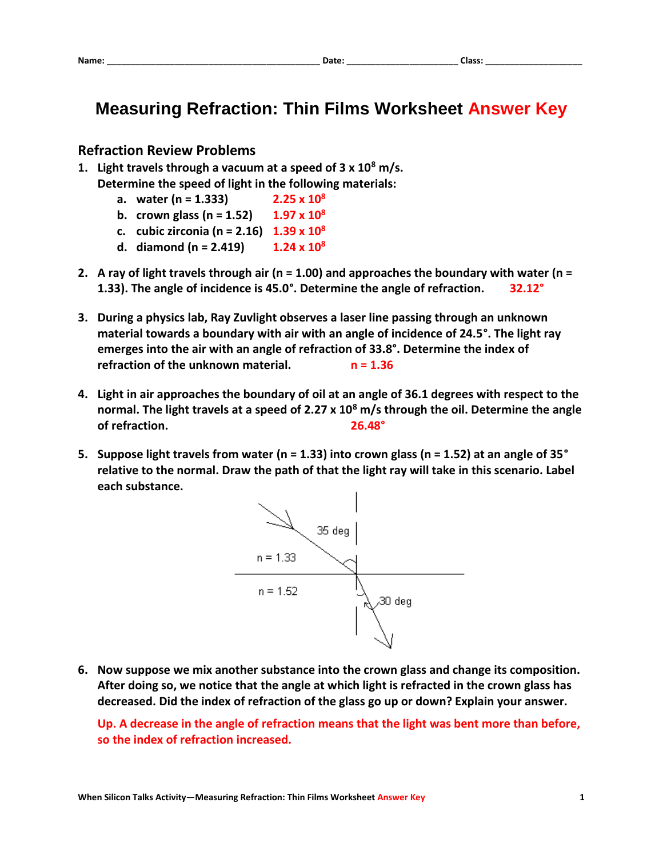## **Measuring Refraction: Thin Films Worksheet Answer Key**

## **Refraction Review Problems**

- **1. Light travels through a vacuum at a speed of 3 x 10<sup>8</sup> m/s. Determine the speed of light in the following materials:**
	- **a. water (n = 1.333) 2.25 x 10<sup>8</sup>**
	- **b. crown glass (n = 1.52)**  $1.97 \times 10^8$
	- **c. cubic zirconia (n = 2.16) 1.39 x 10<sup>8</sup>**
	- **d. diamond** (n = 2.419)  $1.24 \times 10^8$
- **2. A ray of light travels through air (n = 1.00) and approaches the boundary with water (n = 1.33). The angle of incidence is 45.0°. Determine the angle of refraction. 32.12°**
- **3. During a physics lab, Ray Zuvlight observes a laser line passing through an unknown material towards a boundary with air with an angle of incidence of 24.5°. The light ray emerges into the air with an angle of refraction of 33.8°. Determine the index of refraction of the unknown material.** n = 1.36
- **4. Light in air approaches the boundary of oil at an angle of 36.1 degrees with respect to the normal. The light travels at a speed of 2.27 x 10<sup>8</sup> m/s through the oil. Determine the angle of refraction. 26.48°**
- **5. Suppose light travels from water (n = 1.33) into crown glass (n = 1.52) at an angle of 35° relative to the normal. Draw the path of that the light ray will take in this scenario. Label each substance.**



**6. Now suppose we mix another substance into the crown glass and change its composition. After doing so, we notice that the angle at which light is refracted in the crown glass has decreased. Did the index of refraction of the glass go up or down? Explain your answer.**

**Up. A decrease in the angle of refraction means that the light was bent more than before, so the index of refraction increased.**